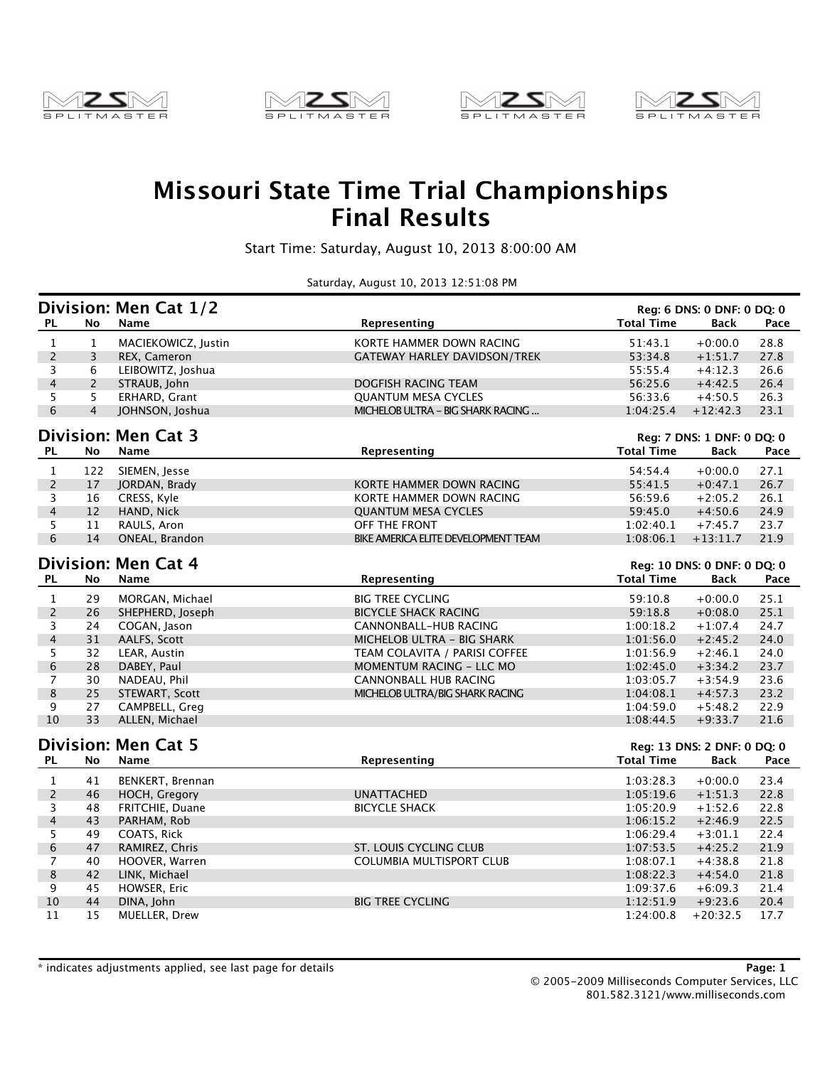







## **Missouri State Time Trial Championships Final Results**

Start Time: Saturday, August 10, 2013 8:00:00 AM

Saturday, August 10, 2013 12:51:08 PM

|                |                | Division: Men Cat 1/2      |                                     |                             | Reg: 6 DNS: 0 DNF: 0 DQ: 0  |      |
|----------------|----------------|----------------------------|-------------------------------------|-----------------------------|-----------------------------|------|
| <b>PL</b>      | No             | <b>Name</b>                | Representing                        | <b>Total Time</b>           | Back                        | Pace |
| $\mathbf{1}$   | $\mathbf{1}$   | MACIEKOWICZ, Justin        | KORTE HAMMER DOWN RACING            | 51:43.1                     | $+0:00.0$                   | 28.8 |
| $\overline{2}$ | $\overline{3}$ | REX, Cameron               | <b>GATEWAY HARLEY DAVIDSON/TREK</b> | 53:34.8                     | $+1:51.7$                   | 27.8 |
| 3              | 6              | LEIBOWITZ, Joshua          |                                     | 55:55.4                     | $+4:12.3$                   | 26.6 |
| $\overline{4}$ | $\overline{2}$ | STRAUB, John               | DOGFISH RACING TEAM                 | 56:25.6                     | $+4:42.5$                   | 26.4 |
| 5              | 5              | ERHARD, Grant              | <b>OUANTUM MESA CYCLES</b>          | 56:33.6                     | $+4:50.5$                   | 26.3 |
| 6              | $\overline{4}$ | JOHNSON, Joshua            | MICHELOB ULTRA - BIG SHARK RACING   | 1:04:25.4                   | $+12:42.3$                  | 23.1 |
|                |                | <b>Division: Men Cat 3</b> |                                     |                             | Reg: 7 DNS: 1 DNF: 0 DQ: 0  |      |
| <b>PL</b>      | No             | Name                       | Representing                        | <b>Total Time</b>           | Back                        | Pace |
| $\mathbf{1}$   | 122            | SIEMEN, Jesse              |                                     | 54:54.4                     | $+0:00.0$                   | 27.1 |
| $\overline{c}$ | 17             | JORDAN, Brady              | KORTE HAMMER DOWN RACING            | 55:41.5                     | $+0:47.1$                   | 26.7 |
| 3              | 16             | CRESS, Kyle                | KORTE HAMMER DOWN RACING            | 56:59.6                     | $+2:05.2$                   | 26.1 |
| $\overline{4}$ | 12             | HAND, Nick                 | <b>QUANTUM MESA CYCLES</b>          | 59:45.0                     | $+4:50.6$                   | 24.9 |
| 5              | 11             | RAULS, Aron                | OFF THE FRONT                       | 1:02:40.1                   | $+7:45.7$                   | 23.7 |
| 6              | 14             | ONEAL, Brandon             | BIKE AMERICA ELITE DEVELOPMENT TEAM | 1:08:06.1                   | $+13:11.7$                  | 21.9 |
|                |                | <b>Division: Men Cat 4</b> |                                     |                             |                             |      |
|                |                | <b>Name</b>                |                                     | Reg: 10 DNS: 0 DNF: 0 DQ: 0 |                             | Pace |
| <b>PL</b>      | No             |                            | Representing                        | <b>Total Time</b>           | <b>Back</b>                 |      |
| $\mathbf{1}$   | 29             | MORGAN, Michael            | <b>BIG TREE CYCLING</b>             | 59:10.8                     | $+0:00.0$                   | 25.1 |
| $\overline{c}$ | 26             | SHEPHERD, Joseph           | <b>BICYCLE SHACK RACING</b>         | 59:18.8                     | $+0.08.0$                   | 25.1 |
| 3              | 24             | COGAN, Jason               | CANNONBALL-HUB RACING               | 1:00:18.2                   | $+1:07.4$                   | 24.7 |
| 4              | 31             | AALFS, Scott               | MICHELOB ULTRA - BIG SHARK          | 1:01:56.0                   | $+2:45.2$                   | 24.0 |
| 5              | 32             | LEAR, Austin               | TEAM COLAVITA / PARISI COFFEE       | 1:01:56.9                   | $+2:46.1$                   | 24.0 |
| 6              | 28             | DABEY, Paul                | MOMENTUM RACING - LLC MO            | 1:02:45.0                   | $+3:34.2$                   | 23.7 |
| $\overline{7}$ | 30             | NADEAU, Phil               | CANNONBALL HUB RACING               | 1:03:05.7                   | $+3:54.9$                   | 23.6 |
| 8              | 25             | STEWART, Scott             | MICHELOB ULTRA/BIG SHARK RACING     | 1:04:08.1                   | $+4:57.3$                   | 23.2 |
| 9              | 27             | CAMPBELL, Greg             |                                     | 1:04:59.0                   | $+5:48.2$                   | 22.9 |
| 10             | 33             | ALLEN, Michael             |                                     | 1:08:44.5                   | $+9:33.7$                   | 21.6 |
|                |                | <b>Division: Men Cat 5</b> |                                     |                             | Reg: 13 DNS: 2 DNF: 0 DQ: 0 |      |
| <b>PL</b>      | No             | Name                       | Representing                        | <b>Total Time</b>           | Back                        | Pace |
| $\mathbf{1}$   | 41             | BENKERT, Brennan           |                                     | 1:03:28.3                   | $+0:00.0$                   | 23.4 |
| $\overline{c}$ | 46             | HOCH, Gregory              | <b>UNATTACHED</b>                   | 1:05:19.6                   | $+1:51.3$                   | 22.8 |
| 3              | 48             | <b>FRITCHIE, Duane</b>     | <b>BICYCLE SHACK</b>                | 1:05:20.9                   | $+1:52.6$                   | 22.8 |
| $\overline{4}$ | 43             | PARHAM, Rob                |                                     | 1:06:15.2                   | $+2:46.9$                   | 22.5 |
| 5              | 49             | COATS, Rick                |                                     | 1:06:29.4                   | $+3:01.1$                   | 22.4 |
| 6              | 47             | RAMIREZ, Chris             | <b>ST. LOUIS CYCLING CLUB</b>       | 1:07:53.5                   | $+4:25.2$                   | 21.9 |
| $\overline{7}$ | 40             | HOOVER, Warren             | <b>COLUMBIA MULTISPORT CLUB</b>     | 1:08:07.1                   | $+4:38.8$                   | 21.8 |
| 8              | 42             | LINK, Michael              |                                     | 1:08:22.3                   | $+4:54.0$                   | 21.8 |
| 9              | 45             | HOWSER, Eric               |                                     | 1:09:37.6                   | $+6:09.3$                   | 21.4 |
| 10             | 44             | DINA, John                 | <b>BIG TREE CYCLING</b>             | 1:12:51.9                   | $+9:23.6$                   | 20.4 |
| 11             | 15             | MUELLER, Drew              |                                     | 1:24:00.8                   | $+20:32.5$                  | 17.7 |
|                |                |                            |                                     |                             |                             |      |

\* indicates adjustments applied, see last page for details **Page: 1**

© 2005-2009 Milliseconds Computer Services, LLC 801.582.3121/www.milliseconds.com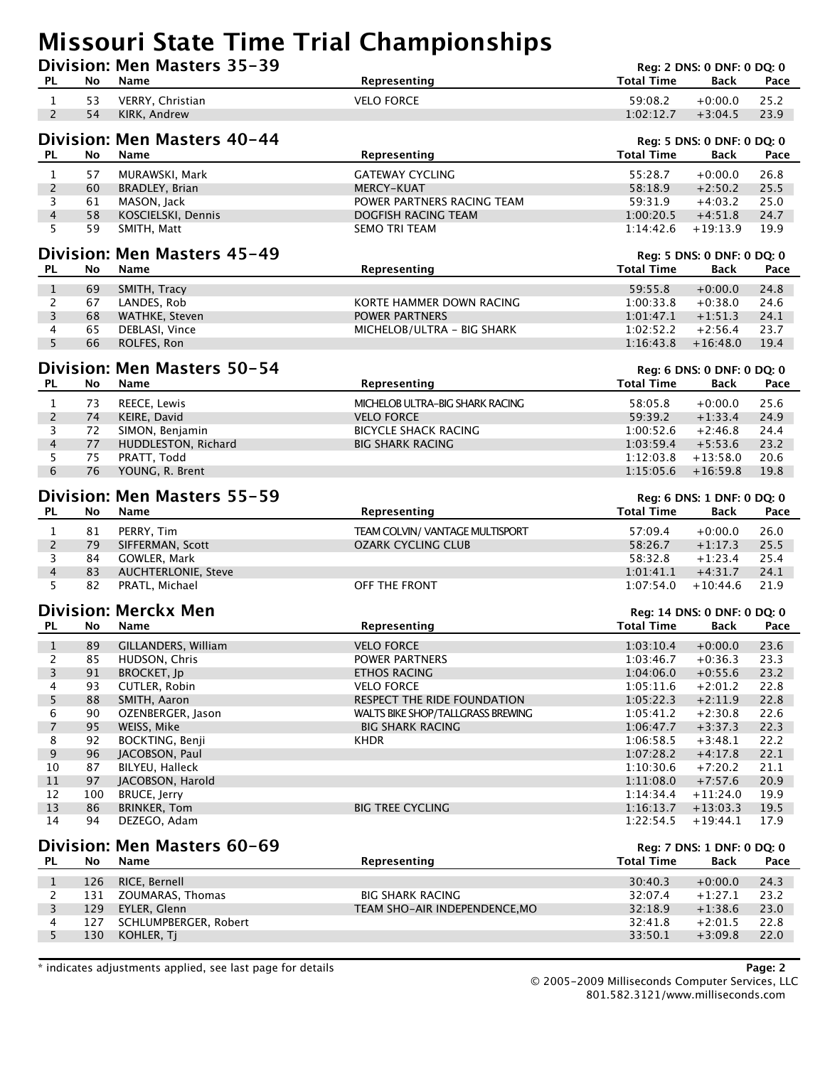## **Missouri State Time Trial Championships**

|                                |            | Division: Men Masters 35-39           |                                   |                        | Reg: 2 DNS: 0 DNF: 0 DQ: 0         |              |
|--------------------------------|------------|---------------------------------------|-----------------------------------|------------------------|------------------------------------|--------------|
| PL                             | No         | <b>Name</b>                           | Representing                      | <b>Total Time</b>      | Back                               | Pace         |
| $\mathbf{1}$                   | 53         | VERRY, Christian                      | <b>VELO FORCE</b>                 | 59:08.2                | $+0:00.0$                          | 25.2         |
| $\overline{2}$                 | 54         | KIRK, Andrew                          |                                   | 1:02:12.7              | $+3:04.5$                          | 23.9         |
|                                |            | Division: Men Masters 40-44           |                                   |                        |                                    |              |
| <b>PL</b>                      | No         | Name                                  | Representing                      | <b>Total Time</b>      | Reg: 5 DNS: 0 DNF: 0 DQ: 0<br>Back | Pace         |
| $\mathbf{1}$                   | 57         | MURAWSKI, Mark                        | <b>GATEWAY CYCLING</b>            | 55:28.7                | $+0:00.0$                          | 26.8         |
| $\overline{2}$                 | 60         | BRADLEY, Brian                        | <b>MERCY-KUAT</b>                 | 58:18.9                | $+2:50.2$                          | 25.5         |
| 3                              | 61         | MASON, Jack                           | POWER PARTNERS RACING TEAM        | 59:31.9                | $+4:03.2$                          | 25.0         |
| $\overline{4}$                 | 58         | KOSCIELSKI, Dennis                    | DOGFISH RACING TEAM               | 1:00:20.5              | $+4:51.8$                          | 24.7         |
| 5                              | 59         | SMITH, Matt                           | <b>SEMO TRI TEAM</b>              | 1:14:42.6              | $+19:13.9$                         | 19.9         |
|                                |            | Division: Men Masters 45-49           |                                   |                        | Reg: 5 DNS: 0 DNF: 0 DQ: 0         |              |
| <b>PL</b>                      | No         | Name                                  | Representing                      | <b>Total Time</b>      | Back                               | Pace         |
| $\mathbf{1}$                   | 69         | SMITH, Tracy                          |                                   | 59:55.8                | $+0:00.0$                          | 24.8         |
| $\overline{2}$                 | 67         | LANDES, Rob                           | KORTE HAMMER DOWN RACING          | 1:00:33.8              | $+0.38.0$                          | 24.6         |
| 3                              | 68         | WATHKE, Steven                        | <b>POWER PARTNERS</b>             | 1:01:47.1              | $+1:51.3$                          | 24.1         |
| 4                              | 65         | DEBLASI, Vince                        | MICHELOB/ULTRA - BIG SHARK        | 1:02:52.2              | $+2:56.4$                          | 23.7         |
| 5                              | 66         | ROLFES, Ron                           |                                   | 1:16:43.8              | $+16:48.0$                         | 19.4         |
|                                |            | Division: Men Masters 50-54           |                                   |                        | Reg: 6 DNS: 0 DNF: 0 DQ: 0         |              |
| <b>PL</b>                      | No         | Name                                  | Representing                      | <b>Total Time</b>      | Back                               | Pace         |
| $\mathbf{1}$                   | 73         | REECE, Lewis                          | MICHELOB ULTRA-BIG SHARK RACING   | 58:05.8                | $+0:00.0$                          | 25.6         |
| $\overline{c}$                 | 74         | KEIRE, David                          | <b>VELO FORCE</b>                 | 59:39.2                | $+1:33.4$                          | 24.9         |
| 3                              | 72         | SIMON, Benjamin                       | <b>BICYCLE SHACK RACING</b>       | 1:00:52.6              | $+2:46.8$                          | 24.4         |
| $\overline{4}$                 | 77         | HUDDLESTON, Richard                   | <b>BIG SHARK RACING</b>           | 1:03:59.4              | $+5:53.6$                          | 23.2         |
| 5                              | 75         | PRATT, Todd                           |                                   | 1:12:03.8              | $+13:58.0$                         | 20.6         |
| 6                              | 76         | YOUNG, R. Brent                       |                                   | 1:15:05.6              | $+16:59.8$                         | 19.8         |
|                                |            |                                       |                                   |                        |                                    |              |
|                                |            | Division: Men Masters 55-59           |                                   |                        | Reg: 6 DNS: 1 DNF: 0 DQ: 0         |              |
| <b>PL</b>                      | No         | Name                                  | Representing                      | <b>Total Time</b>      | Back                               | Pace         |
| $\mathbf{1}$                   | 81         | PERRY, Tim                            | TEAM COLVIN/ VANTAGE MULTISPORT   | 57:09.4                | $+0:00.0$                          | 26.0         |
| $\overline{2}$                 | 79         | SIFFERMAN, Scott                      | <b>OZARK CYCLING CLUB</b>         | 58:26.7                | $+1:17.3$                          | 25.5         |
| 3                              | 84         | GOWLER, Mark                          |                                   | 58:32.8                | $+1:23.4$                          | 25.4         |
| $\overline{4}$                 | 83         | <b>AUCHTERLONIE, Steve</b>            |                                   | 1:01:41.1              | $+4:31.7$                          | 24.1         |
| 5                              | 82         | PRATL, Michael                        | OFF THE FRONT                     | 1:07:54.0              | $+10:44.6$                         | 21.9         |
|                                |            | <b>Division: Merckx Men</b>           |                                   |                        | Reg: 14 DNS: 0 DNF: 0 DQ: 0        |              |
| <b>PL</b>                      | No         | <b>Name</b>                           | Representing                      | <b>Total Time</b>      | Back                               | Pace         |
| $\mathbf{1}$                   | 89         | GILLANDERS, William                   | <b>VELO FORCE</b>                 | 1:03:10.4              | $+0:00.0$                          | 23.6         |
| 2                              | 85         | HUDSON, Chris                         | POWER PARTNERS                    | 1:03:46.7              | +0:36.3                            | 23.3         |
| 3                              | 91         | <b>BROCKET, Jp</b>                    | <b>ETHOS RACING</b>               | 1:04:06.0              | $+0:55.6$                          | 23.2         |
| 4                              | 93         | CUTLER, Robin                         | <b>VELO FORCE</b>                 | 1:05:11.6              | $+2:01.2$                          | 22.8         |
| 5                              | 88         | SMITH, Aaron                          | RESPECT THE RIDE FOUNDATION       | 1:05:22.3              | $+2:11.9$                          | 22.8         |
| 6                              | 90         | OZENBERGER, Jason                     | WALTS BIKE SHOP/TALLGRASS BREWING | 1:05:41.2              | $+2:30.8$                          | 22.6         |
| $\overline{7}$                 | 95         | WEISS, Mike                           | <b>BIG SHARK RACING</b>           | 1:06:47.7              | $+3:37.3$                          | 22.3         |
| 8                              | 92         | BOCKTING, Benji                       | <b>KHDR</b>                       | 1:06:58.5              | $+3:48.1$                          | 22.2         |
| 9<br>10                        | 96<br>87   | JACOBSON, Paul<br>BILYEU, Halleck     |                                   | 1:07:28.2<br>1:10:30.6 | $+4:17.8$<br>$+7:20.2$             | 22.1<br>21.1 |
| 11                             | 97         | JACOBSON, Harold                      |                                   | 1:11:08.0              | $+7:57.6$                          | 20.9         |
| 12                             | 100        | BRUCE, Jerry                          |                                   | 1:14:34.4              | $+11:24.0$                         | 19.9         |
| 13                             | 86         | <b>BRINKER, Tom</b>                   | <b>BIG TREE CYCLING</b>           | 1:16:13.7              | $+13:03.3$                         | 19.5         |
| 14                             | 94         | DEZEGO, Adam                          |                                   | 1:22:54.5              | $+19:44.1$                         | 17.9         |
|                                |            |                                       |                                   |                        |                                    |              |
| <b>PL</b>                      | No         | Division: Men Masters 60-69<br>Name   | Representing                      | <b>Total Time</b>      | Reg: 7 DNS: 1 DNF: 0 DQ: 0<br>Back | Pace         |
|                                |            |                                       |                                   |                        |                                    |              |
| $\mathbf{1}$<br>$\overline{2}$ | 126<br>131 | RICE, Bernell<br>ZOUMARAS, Thomas     | <b>BIG SHARK RACING</b>           | 30:40.3<br>32:07.4     | $+0:00.0$<br>$+1:27.1$             | 24.3<br>23.2 |
| 3                              |            |                                       |                                   |                        |                                    |              |
|                                |            |                                       |                                   |                        |                                    |              |
| 4                              | 129<br>127 | EYLER, Glenn<br>SCHLUMPBERGER, Robert | TEAM SHO-AIR INDEPENDENCE, MO     | 32:18.9<br>32:41.8     | $+1:38.6$<br>$+2:01.5$             | 23.0<br>22.8 |

\* indicates adjustments applied, see last page for details **Page: 2**

© 2005-2009 Milliseconds Computer Services, LLC 801.582.3121/www.milliseconds.com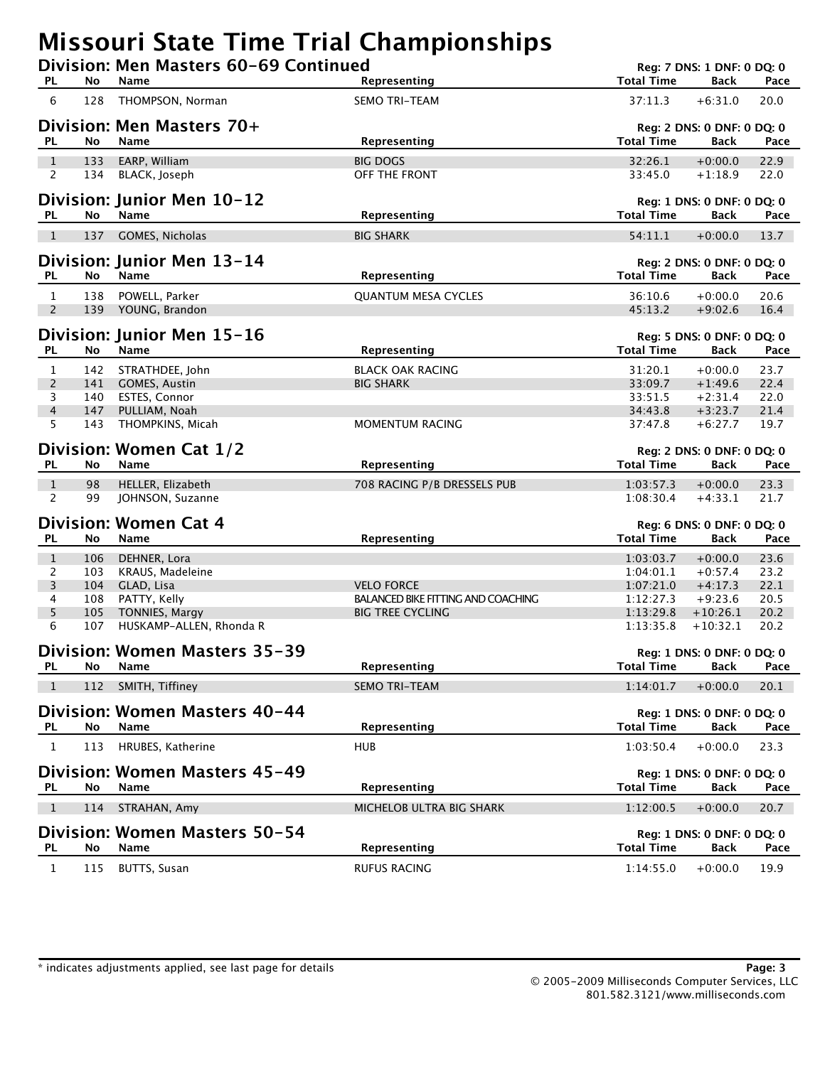## **Missouri State Time Trial Championships**

| <b>PL</b>                      | No  | Division: Men Masters 60-69 Continued<br>Name | Representing                              | <b>Total Time</b> | Reg: 7 DNS: 1 DNF: 0 DQ: 0<br>Back        | Pace         |
|--------------------------------|-----|-----------------------------------------------|-------------------------------------------|-------------------|-------------------------------------------|--------------|
| 6                              | 128 | THOMPSON, Norman                              | <b>SEMO TRI-TEAM</b>                      | 37:11.3           | $+6:31.0$                                 | 20.0         |
|                                |     |                                               |                                           |                   |                                           |              |
| <b>PL</b>                      | No  | Division: Men Masters 70+<br>Name             | Representing                              | <b>Total Time</b> | Reg: 2 DNS: 0 DNF: 0 DQ: 0<br><b>Back</b> | Pace         |
|                                | 133 |                                               | <b>BIG DOGS</b>                           | 32:26.1           |                                           |              |
| $\mathbf{1}$<br>$\overline{2}$ | 134 | EARP, William<br>BLACK, Joseph                | OFF THE FRONT                             | 33:45.0           | $+0:00.0$<br>$+1:18.9$                    | 22.9<br>22.0 |
|                                |     | Division: Junior Men 10-12                    |                                           |                   | Reg: 1 DNS: 0 DNF: 0 DQ: 0                |              |
| <b>PL</b>                      | No  | Name                                          | Representing                              | <b>Total Time</b> | Back                                      | Pace         |
| $\mathbf{1}$                   | 137 | GOMES, Nicholas                               | <b>BIG SHARK</b>                          | 54:11.1           | $+0:00.0$                                 | 13.7         |
| PL.                            | No  | Division: Junior Men 13-14<br>Name            | Representing                              | <b>Total Time</b> | Reg: 2 DNS: 0 DNF: 0 DQ: 0<br>Back        | Pace         |
|                                | 138 |                                               |                                           | 36:10.6           |                                           | 20.6         |
| $\mathbf{1}$<br>$\overline{2}$ | 139 | POWELL, Parker<br>YOUNG, Brandon              | <b>QUANTUM MESA CYCLES</b>                | 45:13.2           | $+0:00.0$<br>$+9:02.6$                    | 16.4         |
|                                |     | Division: Junior Men 15-16                    |                                           |                   | Reg: 5 DNS: 0 DNF: 0 DQ: 0                |              |
| PL.                            | No  | Name                                          | Representing                              | <b>Total Time</b> | Back                                      | Pace         |
| 1                              | 142 | STRATHDEE, John                               | <b>BLACK OAK RACING</b>                   | 31:20.1           | $+0:00.0$                                 | 23.7         |
| $\overline{2}$                 | 141 | <b>GOMES, Austin</b>                          | <b>BIG SHARK</b>                          | 33:09.7           | $+1:49.6$                                 | 22.4         |
| 3                              | 140 | ESTES, Connor                                 |                                           | 33:51.5           | $+2:31.4$                                 | 22.0         |
| 4                              | 147 | PULLIAM, Noah                                 |                                           | 34:43.8           | $+3:23.7$                                 | 21.4         |
| 5                              | 143 | THOMPKINS, Micah                              | MOMENTUM RACING                           | 37:47.8           | $+6:27.7$                                 | 19.7         |
|                                |     | Division: Women Cat 1/2                       |                                           |                   | Reg: 2 DNS: 0 DNF: 0 DQ: 0                |              |
| <b>PL</b>                      | No  | Name                                          | Representing                              | <b>Total Time</b> | <b>Back</b>                               | Pace         |
| $\mathbf{1}$                   | 98  | HELLER, Elizabeth                             | 708 RACING P/B DRESSELS PUB               | 1:03:57.3         | $+0:00.0$                                 | 23.3         |
| $\overline{2}$                 | 99  | JOHNSON, Suzanne                              |                                           | 1:08:30.4         | $+4:33.1$                                 | 21.7         |
|                                |     | <b>Division: Women Cat 4</b>                  |                                           |                   | Reg: 6 DNS: 0 DNF: 0 DQ: 0                |              |
| <b>PL</b>                      | No  | Name                                          | Representing                              | <b>Total Time</b> | <b>Back</b>                               | Pace         |
| $\mathbf{1}$                   | 106 | DEHNER, Lora                                  |                                           | 1:03:03.7         | $+0:00.0$                                 | 23.6         |
| 2                              | 103 | KRAUS, Madeleine                              |                                           | 1:04:01.1         | $+0:57.4$                                 | 23.2         |
| $\overline{3}$                 | 104 | GLAD, Lisa                                    | <b>VELO FORCE</b>                         | 1:07:21.0         | $+4:17.3$                                 | 22.1         |
| 4                              | 108 | PATTY, Kelly                                  | <b>BALANCED BIKE FITTING AND COACHING</b> | 1:12:27.3         | $+9:23.6$                                 | 20.5         |
| 5                              | 105 | <b>TONNIES, Margy</b>                         | <b>BIG TREE CYCLING</b>                   | 1:13:29.8         | $+10:26.1$                                | 20.2         |
| 6                              | 107 | HUSKAMP-ALLEN, Rhonda R                       |                                           | 1:13:35.8         | $+10:32.1$                                | 20.2         |
|                                |     | Division: Women Masters 35-39                 |                                           |                   | Reg: 1 DNS: 0 DNF: 0 DQ: 0                |              |
| <b>PL</b>                      | No  | Name                                          | Representing                              | <b>Total Time</b> | <b>Back</b>                               | Pace         |
| $\mathbf{1}$                   | 112 | SMITH, Tiffiney                               | <b>SEMO TRI-TEAM</b>                      | 1:14:01.7         | $+0:00.0$                                 | 20.1         |
|                                |     | Division: Women Masters 40-44                 |                                           |                   | Reg: 1 DNS: 0 DNF: 0 DQ: 0                |              |
| <b>PL</b>                      | No  | Name                                          | Representing                              | <b>Total Time</b> | <b>Back</b>                               | Pace         |
| $\mathbf{1}$                   | 113 | HRUBES, Katherine                             | <b>HUB</b>                                | 1:03:50.4         | $+0:00.0$                                 | 23.3         |
|                                |     | Division: Women Masters 45-49                 |                                           |                   |                                           |              |
| PL.                            | No  | Name                                          | Representing                              | <b>Total Time</b> | Reg: 1 DNS: 0 DNF: 0 DQ: 0<br><b>Back</b> | Pace         |
| $\overline{1}$                 | 114 | STRAHAN, Amy                                  | MICHELOB ULTRA BIG SHARK                  | 1:12:00.5         | $+0:00.0$                                 | 20.7         |
|                                |     |                                               |                                           |                   |                                           |              |
| <b>PL</b>                      | No  | Division: Women Masters 50-54<br>Name         | Representing                              | <b>Total Time</b> | Reg: 1 DNS: 0 DNF: 0 DQ: 0<br><b>Back</b> | Pace         |
| $\mathbf{1}$                   | 115 | <b>BUTTS, Susan</b>                           | <b>RUFUS RACING</b>                       | 1:14:55.0         | $+0:00.0$                                 | 19.9         |
|                                |     |                                               |                                           |                   |                                           |              |